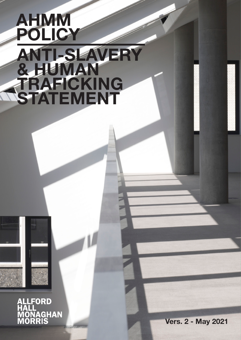# ANTI-SLAVERY & HUMAN TRAFICKING STATEMENT AHMM POLICY

ALLFORD<br>HALL ,,,,,,<br>/IONAGHAN<br>/IORRIS

**WALLET IN THE TABLE OF THE** 

Vers. 2 - May 2021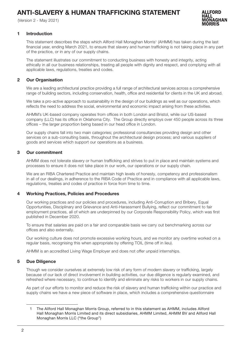# ANTI-SLAVERY & HUMAN TRAFFICKING STATEMENT

(Version 2 - May 2021)



### 1 Introduction

This statement describes the steps which Allford Hall Monaghan Morris<sup>1</sup> (AHMM) has taken during the last financial year, ending March 2021, to ensure that slavery and human trafficking is not taking place in any part of the practice, or in any of our supply chains.

The statement illustrates our commitment to conducting business with honesty and integrity, acting ethically in all our business relationships, treating all people with dignity and respect, and complying with all applicable laws, regulations, treaties and codes.

# 2 Our Organisation

We are a leading architectural practice providing a full range of architectural services across a comprehensive range of building sectors, including conservation, health, office and residential for clients in the UK and abroad.

We take a pro-active approach to sustainability in the design of our buildings as well as our operations, which reflects the need to address the social, environmental and economic impact arising from these activities.

AHMM's UK-based company operates from offices in both London and Bristol, while our US-based company (LLC) has its office in Oklahoma City. The Group directly employs over 450 people across its three offices – the larger proportion being based in our head office in London.

Our supply chains fall into two main categories; professional consultancies providing design and other services on a sub-consulting basis, throughout the architectural design process; and various suppliers of goods and services which support our operations as a business.

# 3 Our commitment

AHMM does not tolerate slavery or human trafficking and strives to put in place and maintain systems and processes to ensure it does not take place in our work, our operations or our supply chain.

We are an RIBA Chartered Practice and maintain high levels of honesty, competency and professionalism in all of our dealings, in adherence to the RIBA Code of Practice and in compliance with all applicable laws, regulations, treaties and codes of practice in force from time to time.

# 4 Working Practices, Policies and Procedures

Our working practices and our policies and procedures, including Anti-Corruption and Bribery, Equal Opportunities, Disciplinary and Grievance and Anti-Harassment Bullying, reflect our commitment to fair employment practices, all of which are underpinned by our Corporate Responsibility Policy, which was first published in December 2020.

To ensure that salaries are paid on a fair and comparable basis we carry out benchmarking across our offices and also externally.

Our working culture does not promote excessive working hours, and we monitor any overtime worked on a regular basis, recognising this when appropriate by offering TOIL (time off in lieu).

AHMM is an accredited Living Wage Employer and does not offer unpaid internships.

#### 5 Due Diligence

Though we consider ourselves at extremely low risk of any form of modern slavery or trafficking, largely because of our lack of direct involvement in building activities, our due diligence is regularly examined, and refreshed where necessary, to continue to identify and eliminate any risks to workers in our supply chains.

As part of our efforts to monitor and reduce the risk of slavery and human trafficking within our practice and supply chains we have a new piece of software in place, which includes a comprehensive questionnaire

<sup>1</sup> The Allford Hall Monaghan Morris Group, referred to in this statement as AHMM, includes Allford Hall Monaghan Morris Limited and its direct subsidiaries, AHMM Limited, AHMM BV and Allford Hall Monaghan Morris LLC ("the Group")